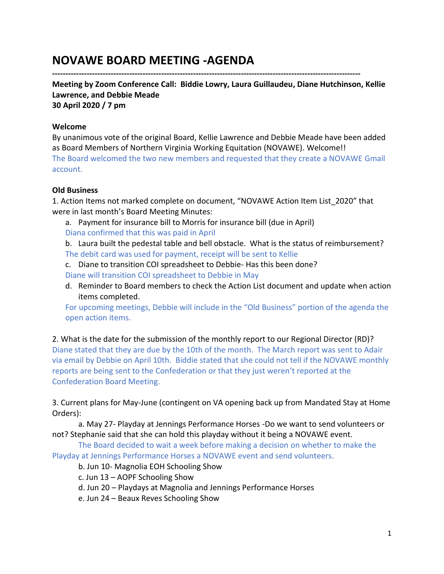# **NOVAWE BOARD MEETING -AGENDA**

**--------------------------------------------------------------------------------------------------------------------**

**Meeting by Zoom Conference Call: Biddie Lowry, Laura Guillaudeu, Diane Hutchinson, Kellie Lawrence, and Debbie Meade 30 April 2020 / 7 pm**

**Welcome**

By unanimous vote of the original Board, Kellie Lawrence and Debbie Meade have been added as Board Members of Northern Virginia Working Equitation (NOVAWE). Welcome!! The Board welcomed the two new members and requested that they create a NOVAWE Gmail account.

## **Old Business**

1. Action Items not marked complete on document, "NOVAWE Action Item List\_2020" that were in last month's Board Meeting Minutes:

a. Payment for insurance bill to Morris for insurance bill (due in April) Diana confirmed that this was paid in April

b. Laura built the pedestal table and bell obstacle. What is the status of reimbursement? The debit card was used for payment, receipt will be sent to Kellie

- c. Diane to transition COI spreadsheet to Debbie- Has this been done? Diane will transition COI spreadsheet to Debbie in May
- d. Reminder to Board members to check the Action List document and update when action items completed.

For upcoming meetings, Debbie will include in the "Old Business" portion of the agenda the open action items.

2. What is the date for the submission of the monthly report to our Regional Director (RD)? Diane stated that they are due by the 10th of the month. The March report was sent to Adair via email by Debbie on April 10th. Biddie stated that she could not tell if the NOVAWE monthly reports are being sent to the Confederation or that they just weren't reported at the Confederation Board Meeting.

3. Current plans for May-June (contingent on VA opening back up from Mandated Stay at Home Orders):

a. May 27- Playday at Jennings Performance Horses -Do we want to send volunteers or not? Stephanie said that she can hold this playday without it being a NOVAWE event.

The Board decided to wait a week before making a decision on whether to make the Playday at Jennings Performance Horses a NOVAWE event and send volunteers.

- b. Jun 10- Magnolia EOH Schooling Show
- c. Jun 13 AOPF Schooling Show
- d. Jun 20 Playdays at Magnolia and Jennings Performance Horses
- e. Jun 24 Beaux Reves Schooling Show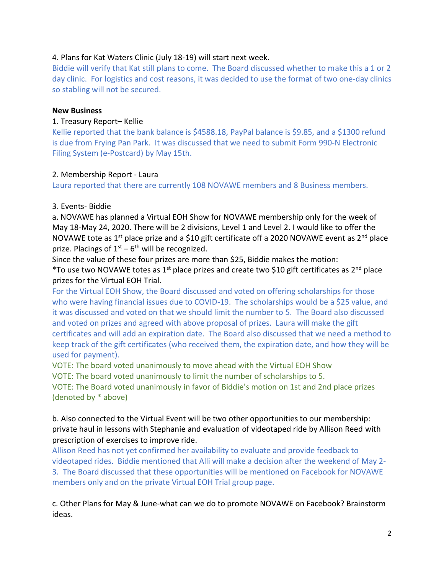## 4. Plans for Kat Waters Clinic (July 18-19) will start next week.

Biddie will verify that Kat still plans to come. The Board discussed whether to make this a 1 or 2 day clinic. For logistics and cost reasons, it was decided to use the format of two one-day clinics so stabling will not be secured.

#### **New Business**

#### 1. Treasury Report– Kellie

Kellie reported that the bank balance is \$4588.18, PayPal balance is \$9.85, and a \$1300 refund is due from Frying Pan Park. It was discussed that we need to submit Form 990-N Electronic Filing System (e-Postcard) by May 15th.

#### 2. Membership Report - Laura

Laura reported that there are currently 108 NOVAWE members and 8 Business members.

#### 3. Events- Biddie

a. NOVAWE has planned a Virtual EOH Show for NOVAWE membership only for the week of May 18-May 24, 2020. There will be 2 divisions, Level 1 and Level 2. I would like to offer the NOVAWE tote as 1<sup>st</sup> place prize and a \$10 gift certificate off a 2020 NOVAWE event as 2<sup>nd</sup> place prize. Placings of  $1<sup>st</sup> - 6<sup>th</sup>$  will be recognized.

Since the value of these four prizes are more than \$25, Biddie makes the motion:

\*To use two NOVAWE totes as 1<sup>st</sup> place prizes and create two \$10 gift certificates as 2<sup>nd</sup> place prizes for the Virtual EOH Trial.

For the Virtual EOH Show, the Board discussed and voted on offering scholarships for those who were having financial issues due to COVID-19. The scholarships would be a \$25 value, and it was discussed and voted on that we should limit the number to 5. The Board also discussed and voted on prizes and agreed with above proposal of prizes. Laura will make the gift certificates and will add an expiration date. The Board also discussed that we need a method to keep track of the gift certificates (who received them, the expiration date, and how they will be used for payment).

VOTE: The board voted unanimously to move ahead with the Virtual EOH Show VOTE: The board voted unanimously to limit the number of scholarships to 5.

VOTE: The Board voted unanimously in favor of Biddie's motion on 1st and 2nd place prizes

(denoted by \* above)

b. Also connected to the Virtual Event will be two other opportunities to our membership: private haul in lessons with Stephanie and evaluation of videotaped ride by Allison Reed with prescription of exercises to improve ride.

Allison Reed has not yet confirmed her availability to evaluate and provide feedback to videotaped rides. Biddie mentioned that Alli will make a decision after the weekend of May 2- 3. The Board discussed that these opportunities will be mentioned on Facebook for NOVAWE members only and on the private Virtual EOH Trial group page.

c. Other Plans for May & June-what can we do to promote NOVAWE on Facebook? Brainstorm ideas.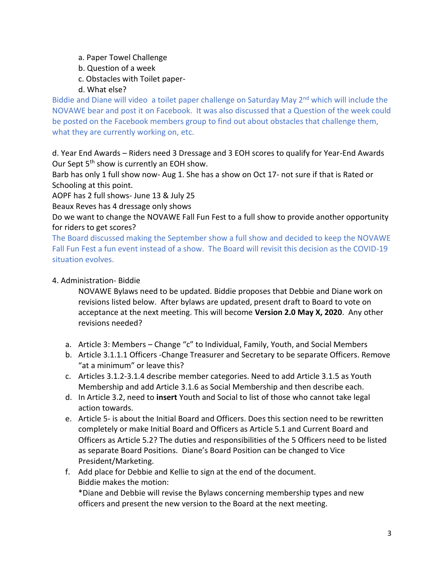- a. Paper Towel Challenge
- b. Question of a week
- c. Obstacles with Toilet paper-
- d. What else?

Biddie and Diane will video a toilet paper challenge on Saturday May 2<sup>nd</sup> which will include the NOVAWE bear and post it on Facebook. It was also discussed that a Question of the week could be posted on the Facebook members group to find out about obstacles that challenge them, what they are currently working on, etc.

d. Year End Awards – Riders need 3 Dressage and 3 EOH scores to qualify for Year-End Awards Our Sept 5<sup>th</sup> show is currently an EOH show.

Barb has only 1 full show now- Aug 1. She has a show on Oct 17- not sure if that is Rated or Schooling at this point.

AOPF has 2 full shows- June 13 & July 25

Beaux Reves has 4 dressage only shows

Do we want to change the NOVAWE Fall Fun Fest to a full show to provide another opportunity for riders to get scores?

The Board discussed making the September show a full show and decided to keep the NOVAWE Fall Fun Fest a fun event instead of a show. The Board will revisit this decision as the COVID-19 situation evolves.

## 4. Administration- Biddie

NOVAWE Bylaws need to be updated. Biddie proposes that Debbie and Diane work on revisions listed below. After bylaws are updated, present draft to Board to vote on acceptance at the next meeting. This will become **Version 2.0 May X, 2020**. Any other revisions needed?

- a. Article 3: Members Change "c" to Individual, Family, Youth, and Social Members
- b. Article 3.1.1.1 Officers -Change Treasurer and Secretary to be separate Officers. Remove "at a minimum" or leave this?
- c. Articles 3.1.2-3.1.4 describe member categories. Need to add Article 3.1.5 as Youth Membership and add Article 3.1.6 as Social Membership and then describe each.
- d. In Article 3.2, need to **insert** Youth and Social to list of those who cannot take legal action towards.
- e. Article 5- is about the Initial Board and Officers. Does this section need to be rewritten completely or make Initial Board and Officers as Article 5.1 and Current Board and Officers as Article 5.2? The duties and responsibilities of the 5 Officers need to be listed as separate Board Positions. Diane's Board Position can be changed to Vice President/Marketing.
- f. Add place for Debbie and Kellie to sign at the end of the document. Biddie makes the motion:

\*Diane and Debbie will revise the Bylaws concerning membership types and new officers and present the new version to the Board at the next meeting.